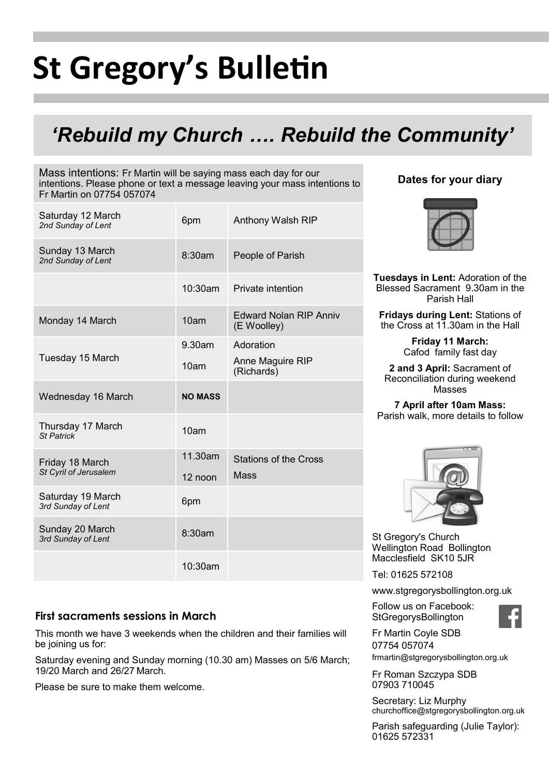# **St Gregory's Bulletin**

# *'Rebuild my Church …. Rebuild the Community'*

Mass intentions: Fr Martin will be saying mass each day for our intentions. Please phone or text a message leaving your mass intentions to Fr Martin on 07754 057074

| Saturday 12 March<br>2nd Sunday of Lent  | 6pm            | Anthony Walsh RIP                            |
|------------------------------------------|----------------|----------------------------------------------|
| Sunday 13 March<br>2nd Sunday of Lent    | 8:30am         | People of Parish                             |
|                                          | $10:30$ am     | Private intention                            |
| Monday 14 March                          | 10am           | <b>Edward Nolan RIP Anniv</b><br>(E Woolley) |
|                                          | 9.30am         | Adoration                                    |
| Tuesday 15 March                         | 10am           | Anne Maguire RIP<br>(Richards)               |
| Wednesday 16 March                       | <b>NO MASS</b> |                                              |
| Thursday 17 March<br><b>St Patrick</b>   | 10am           |                                              |
| Friday 18 March<br>St Cyril of Jerusalem | 11.30am        | <b>Stations of the Cross</b>                 |
|                                          | 12 noon        | <b>Mass</b>                                  |
| Saturday 19 March<br>3rd Sunday of Lent  | 6pm            |                                              |
| Sunday 20 March<br>3rd Sunday of Lent    | 8:30am         |                                              |
|                                          | 10:30am        |                                              |

# **Dates for your diary**



**Tuesdays in Lent:** Adoration of the Blessed Sacrament 9.30am in the Parish Hall

**Fridays during Lent:** Stations of the Cross at 11.30am in the Hall

> **Friday 11 March:** Cafod family fast day

**2 and 3 April:** Sacrament of Reconciliation during weekend Masses

**7 April after 10am Mass:**  Parish walk, more details to follow



St Gregory's Church Wellington Road Bollington Macclesfield SK10 5JR

Tel: 01625 572108

www.stgregorysbollington.org.uk

Follow us on Facebook: **StGregorysBollington** 



Fr Martin Coyle SDB 07754 057074 frmartin@stgregorysbollington.org.uk

Fr Roman Szczypa SDB 07903 710045

Secretary: Liz Murphy churchoffice@stgregorysbollington.org.uk

Parish safeguarding (Julie Taylor): 01625 572331

# **First sacraments sessions in March**

This month we have 3 weekends when the children and their families will be joining us for:

Saturday evening and Sunday morning (10.30 am) Masses on 5/6 March; 19/20 March and 26/27 March.

Please be sure to make them welcome.